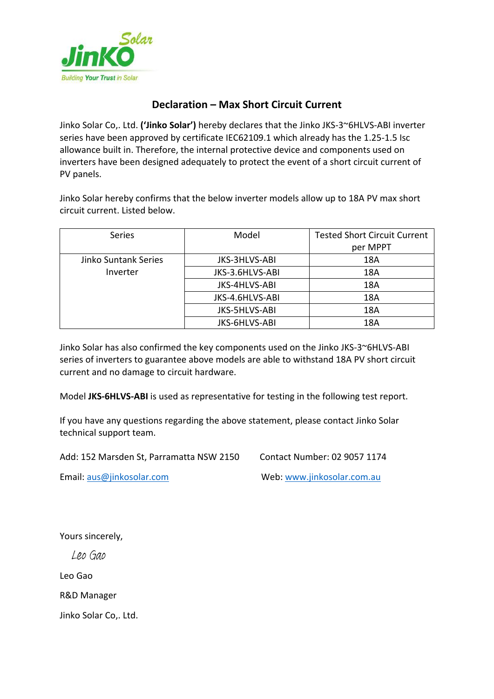

# **Declaration – Max Short Circuit Current**

Jinko Solar Co,. Ltd. **('Jinko Solar')** hereby declares that the Jinko JKS-3~6HLVS-ABI inverter series have been approved by certificate IEC62109.1 which already has the 1.25-1.5 Isc allowance built in. Therefore, the internal protective device and components used on inverters have been designed adequately to protect the event of a short circuit current of PV panels.

Jinko Solar hereby confirms that the below inverter models allow up to 18A PV max short circuit current. Listed below.

| Series                           | Model           | <b>Tested Short Circuit Current</b><br>per MPPT |  |
|----------------------------------|-----------------|-------------------------------------------------|--|
| Jinko Suntank Series<br>Inverter | JKS-3HLVS-ABI   | 18A                                             |  |
|                                  | JKS-3.6HLVS-ABI | 18A                                             |  |
|                                  | JKS-4HLVS-ABI   | 18A                                             |  |
|                                  | JKS-4.6HLVS-ABI | 18A                                             |  |
|                                  | JKS-5HLVS-ABI   | 18A                                             |  |
|                                  | JKS-6HLVS-ABI   | 18A                                             |  |

Jinko Solar has also confirmed the key components used on the Jinko JKS-3~6HLVS-ABI series of inverters to guarantee above models are able to withstand 18A PV short circuit current and no damage to circuit hardware.

Model **JKS-6HLVS-ABI** is used as representative for testing in the following test report.

If you have any questions regarding the above statement, please contact Jinko Solar technical support team.

Add: 152 Marsden St, Parramatta NSW 2150 Contact Number: 02 9057 1174

Email: [aus@jinkosolar.com](mailto:aus@jinkosolar.com) Web: [www.jinkosolar.com.au](http://www.jinkosolar.com.au/)

Yours sincerely,

Leo Gao

Leo Gao

R&D Manager

Jinko Solar Co,. Ltd.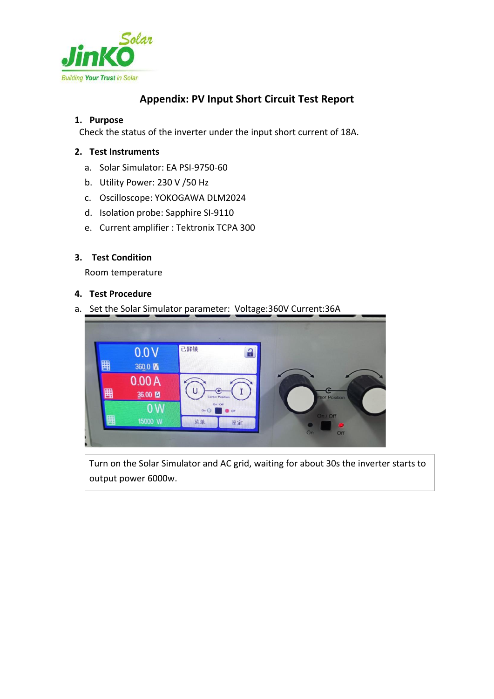

# **Appendix: PV Input Short Circuit Test Report**

### **1. Purpose**

Check the status of the inverter under the input short current of 18A.

## **2. Test Instruments**

- a. Solar Simulator: EA PSI-9750-60
- b. Utility Power: 230 V /50 Hz
- c. Oscilloscope: YOKOGAWA DLM2024
- d. Isolation probe: Sapphire SI-9110
- e. Current amplifier : Tektronix TCPA 300

#### **3. Test Condition**

Room temperature

#### **4. Test Procedure**

a. Set the Solar Simulator parameter: Voltage:360V Current:36A



Turn on the Solar Simulator and AC grid, waiting for about 30s the inverter starts to output power 6000w.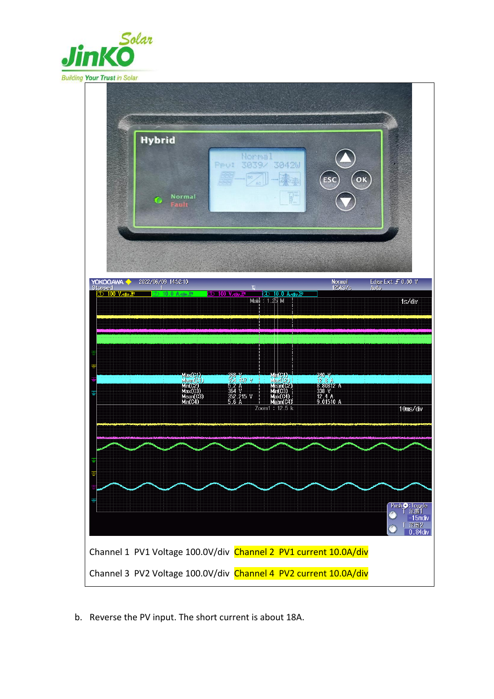



b. Reverse the PV input. The short current is about 18A.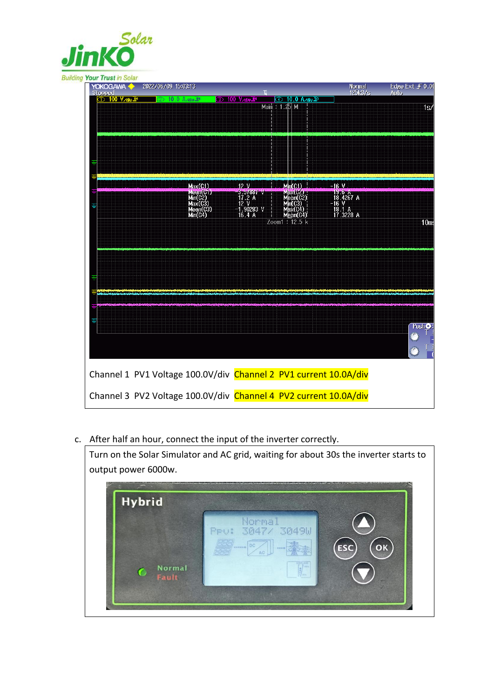

#### **Building Your Trust in Solar**

| <b>YOKOGAWA +</b><br>Stopped                                     | 2022/06/09 15:03:13                                               | п                                            |                                              | Normal<br>125kS/s                          | Edge Ext F 0.00<br>Auto. |
|------------------------------------------------------------------|-------------------------------------------------------------------|----------------------------------------------|----------------------------------------------|--------------------------------------------|--------------------------|
| <b>100 V<sub>Aliv</sub> IM</b>                                   | $\circledcirc$ 10.0 A $\mathcal{A}$ div $\overline{\mathbb{I}^n}$ | <b>3 100 V</b> <sub>Aliv</sub> <sup>IM</sup> | ① 10.0 A <sub>/div</sub> 39<br>Main : 1.25 M |                                            | 1s/                      |
|                                                                  |                                                                   |                                              |                                              |                                            |                          |
|                                                                  |                                                                   |                                              |                                              |                                            |                          |
|                                                                  |                                                                   |                                              |                                              |                                            |                          |
|                                                                  |                                                                   |                                              |                                              |                                            |                          |
| Ŧ                                                                |                                                                   |                                              |                                              |                                            |                          |
|                                                                  | Max(C1)                                                           | 12.9                                         | MIn(C1)                                      | $-16$ V                                    |                          |
|                                                                  | Mean(C1)<br>Min(C2)<br>Max(C3)                                    | 3.57887 V<br>17.2 A<br>12 V                  | Max(C2)<br>Mean(C2)<br>Min(C3)               | $\frac{19.6 \text{ A}}{18.4267 \text{ A}}$ |                          |
| Ŧ                                                                | Mean(C3)<br>Min(C4)                                               | $-1.90283$ V                                 | Max(C4)                                      | 18.1 A<br>17.3228 A                        |                          |
|                                                                  |                                                                   | 16.4A                                        | Mean(C4)<br>Zoom1: 12.5 k                    |                                            | 10 <sub>me</sub>         |
|                                                                  |                                                                   |                                              |                                              |                                            |                          |
|                                                                  |                                                                   |                                              |                                              |                                            |                          |
|                                                                  |                                                                   |                                              |                                              |                                            |                          |
|                                                                  |                                                                   |                                              |                                              |                                            |                          |
|                                                                  |                                                                   |                                              |                                              |                                            |                          |
|                                                                  |                                                                   |                                              |                                              |                                            |                          |
| ₽                                                                |                                                                   |                                              |                                              |                                            |                          |
|                                                                  |                                                                   |                                              |                                              |                                            | Push <sup>O</sup>        |
|                                                                  |                                                                   |                                              |                                              |                                            |                          |
|                                                                  |                                                                   |                                              |                                              |                                            |                          |
| Channel 1 PV1 Voltage 100.0V/div Channel 2 PV1 current 10.0A/div |                                                                   |                                              |                                              |                                            |                          |
|                                                                  |                                                                   |                                              |                                              |                                            |                          |
| Channel 3 PV2 Voltage 100.0V/div Channel 4 PV2 current 10.0A/div |                                                                   |                                              |                                              |                                            |                          |

c. After half an hour, connect the input of the inverter correctly.



Turn on the Solar Simulator and AC grid, waiting for about 30s the inverter starts to output power 6000w.